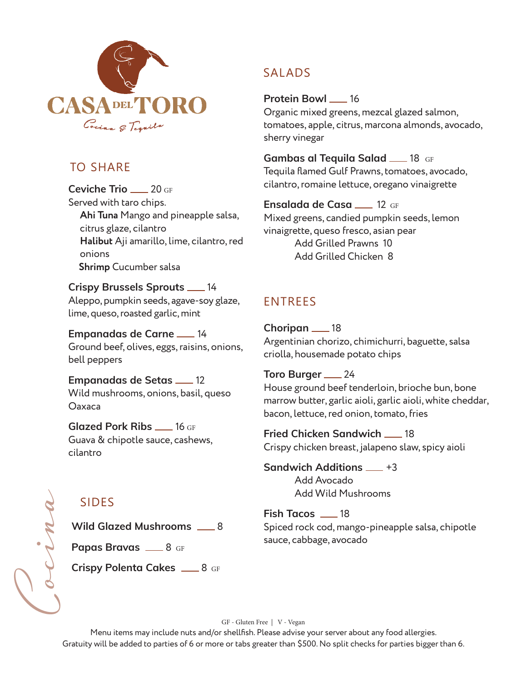

### TO SHARE

**Ceviche Trio** 20 GF Served with taro chips. **Ahi Tuna** Mango and pineapple salsa, citrus glaze, cilantro **Halibut** Aji amarillo, lime, cilantro, red onions  **Shrimp** Cucumber salsa

**Crispy Brussels Sprouts \_\_\_ 14** Aleppo, pumpkin seeds, agave-soy glaze, lime, queso, roasted garlic, mint

**Empanadas de Carne** 14 Ground beef, olives, eggs, raisins, onions, bell peppers

**Empanadas de Setas \_\_ 12** Wild mushrooms, onions, basil, queso Oaxaca

**Glazed Pork Ribs \_\_ 16 GF** Guava & chipotle sauce, cashews, cilantro

# SIDES

Cocina

**Wild Glazed Mushrooms** 28

**Papas Bravas 2008** GF

**Crispy Polenta Cakes** 28 GF

## SALADS

**Protein Bowl \_\_ 16** Organic mixed greens, mezcal glazed salmon, tomatoes, apple, citrus, marcona almonds, avocado, sherry vinegar

**Gambas al Tequila Salad 18 GF** Tequila flamed Gulf Prawns, tomatoes, avocado, cilantro, romaine lettuce, oregano vinaigrette

**Ensalada de Casa** 12 GF Mixed greens, candied pumpkin seeds, lemon vinaigrette, queso fresco, asian pear Add Grilled Prawns 10 Add Grilled Chicken 8

## ENTREES

**Choripan** 18 Argentinian chorizo, chimichurri, baguette, salsa criolla, housemade potato chips

**Toro Burger** 24 House ground beef tenderloin, brioche bun, bone marrow butter, garlic aioli, garlic aioli, white cheddar, bacon, lettuce, red onion, tomato, fries

**Fried Chicken Sandwich \_\_ 18** Crispy chicken breast, jalapeno slaw, spicy aioli

**Sandwich Additions**  $-$  **+3** Add Avocado Add Wild Mushrooms

**Fish Tacos** \_\_\_ 18 Spiced rock cod, mango-pineapple salsa, chipotle sauce, cabbage, avocado

GF - Gluten Free | V - Vegan

Menu items may include nuts and/or shellfish. Please advise your server about any food allergies. Gratuity will be added to parties of 6 or more or tabs greater than \$500. No split checks for parties bigger than 6.